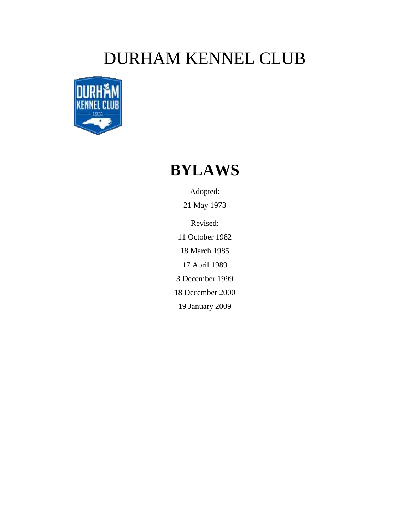# DURHAM KENNEL CLUB

<span id="page-0-0"></span>

# **BYLAWS**

Adopted: 21 May 1973

Revised:

11 October 1982 18 March 1985

17 April 1989

3 December 1999

18 December 2000

19 January 2009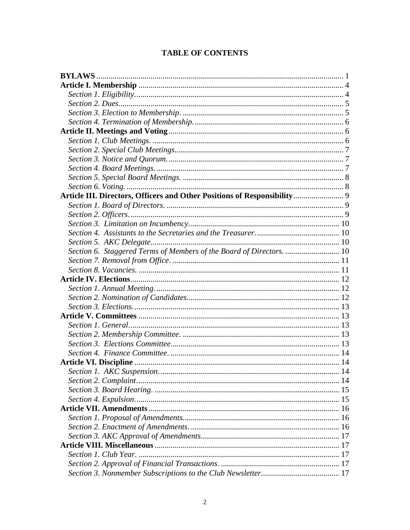| Article III. Directors, Officers and Other Positions of Responsibility 9 |  |
|--------------------------------------------------------------------------|--|
|                                                                          |  |
|                                                                          |  |
|                                                                          |  |
|                                                                          |  |
|                                                                          |  |
| Section 6. Staggered Terms of Members of the Board of Directors.  10     |  |
|                                                                          |  |
|                                                                          |  |
|                                                                          |  |
|                                                                          |  |
|                                                                          |  |
|                                                                          |  |
|                                                                          |  |
|                                                                          |  |
|                                                                          |  |
|                                                                          |  |
|                                                                          |  |
|                                                                          |  |
|                                                                          |  |
|                                                                          |  |
|                                                                          |  |
|                                                                          |  |
|                                                                          |  |
|                                                                          |  |
|                                                                          |  |
|                                                                          |  |
|                                                                          |  |
|                                                                          |  |
|                                                                          |  |
|                                                                          |  |

# **TABLE OF CONTENTS**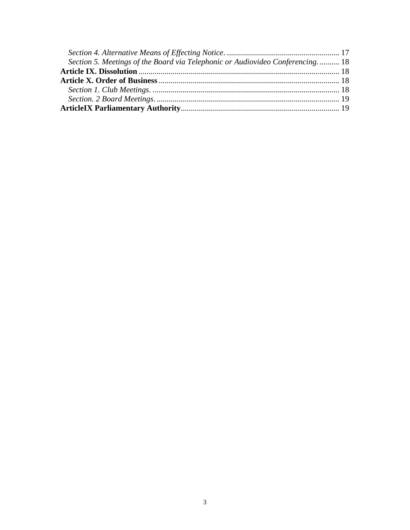| Section 5. Meetings of the Board via Telephonic or Audiovideo Conferencing 18 |  |
|-------------------------------------------------------------------------------|--|
|                                                                               |  |
|                                                                               |  |
|                                                                               |  |
|                                                                               |  |
|                                                                               |  |
|                                                                               |  |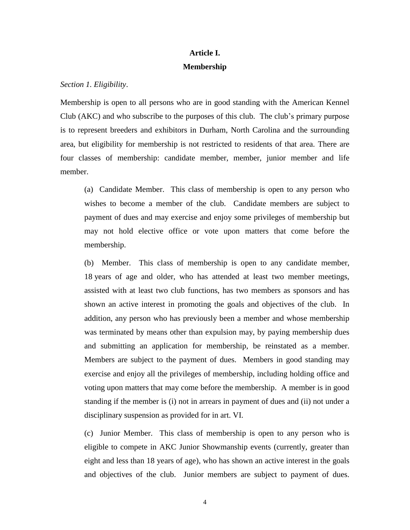# **Article I. Membership**

<span id="page-3-1"></span><span id="page-3-0"></span>*Section 1. Eligibility*.

Membership is open to all persons who are in good standing with the American Kennel Club (AKC) and who subscribe to the purposes of this club. The club's primary purpose is to represent breeders and exhibitors in Durham, North Carolina and the surrounding area, but eligibility for membership is not restricted to residents of that area. There are four classes of membership: candidate member, member, junior member and life member.

(a) Candidate Member. This class of membership is open to any person who wishes to become a member of the club. Candidate members are subject to payment of dues and may exercise and enjoy some privileges of membership but may not hold elective office or vote upon matters that come before the membership.

(b) Member. This class of membership is open to any candidate member, 18 years of age and older, who has attended at least two member meetings, assisted with at least two club functions, has two members as sponsors and has shown an active interest in promoting the goals and objectives of the club. In addition, any person who has previously been a member and whose membership was terminated by means other than expulsion may, by paying membership dues and submitting an application for membership, be reinstated as a member. Members are subject to the payment of dues. Members in good standing may exercise and enjoy all the privileges of membership, including holding office and voting upon matters that may come before the membership. A member is in good standing if the member is (i) not in arrears in payment of dues and (ii) not under a disciplinary suspension as provided for in art. VI.

(c) Junior Member. This class of membership is open to any person who is eligible to compete in AKC Junior Showmanship events (currently, greater than eight and less than 18 years of age), who has shown an active interest in the goals and objectives of the club. Junior members are subject to payment of dues.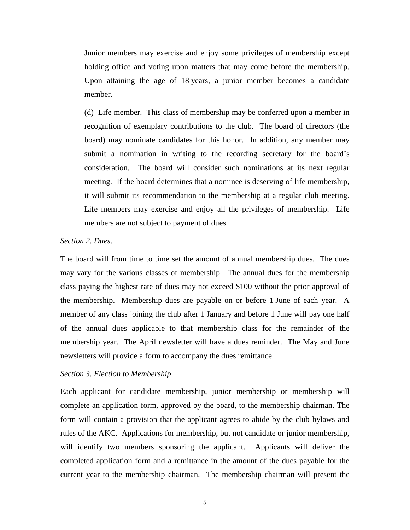Junior members may exercise and enjoy some privileges of membership except holding office and voting upon matters that may come before the membership. Upon attaining the age of 18 years, a junior member becomes a candidate member.

(d) Life member. This class of membership may be conferred upon a member in recognition of exemplary contributions to the club. The board of directors (the board) may nominate candidates for this honor. In addition, any member may submit a nomination in writing to the recording secretary for the board's consideration. The board will consider such nominations at its next regular meeting. If the board determines that a nominee is deserving of life membership, it will submit its recommendation to the membership at a regular club meeting. Life members may exercise and enjoy all the privileges of membership. Life members are not subject to payment of dues.

# <span id="page-4-0"></span>*Section 2. Dues*.

The board will from time to time set the amount of annual membership dues. The dues may vary for the various classes of membership. The annual dues for the membership class paying the highest rate of dues may not exceed \$100 without the prior approval of the membership. Membership dues are payable on or before 1 June of each year. A member of any class joining the club after 1 January and before 1 June will pay one half of the annual dues applicable to that membership class for the remainder of the membership year. The April newsletter will have a dues reminder. The May and June newsletters will provide a form to accompany the dues remittance.

#### <span id="page-4-1"></span>*Section 3. Election to Membership*.

Each applicant for candidate membership, junior membership or membership will complete an application form, approved by the board, to the membership chairman. The form will contain a provision that the applicant agrees to abide by the club bylaws and rules of the AKC. Applications for membership, but not candidate or junior membership, will identify two members sponsoring the applicant. Applicants will deliver the completed application form and a remittance in the amount of the dues payable for the current year to the membership chairman. The membership chairman will present the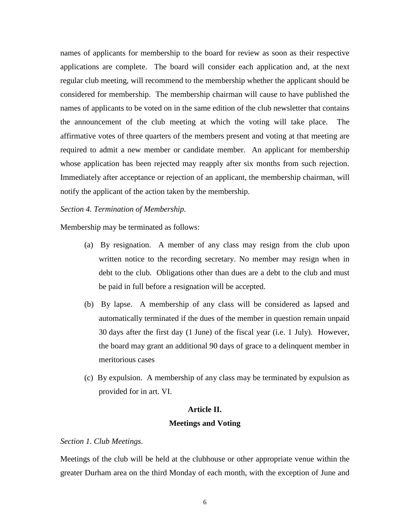names of applicants for membership to the board for review as soon as their respective applications are complete. The board will consider each application and, at the next regular club meeting, will recommend to the membership whether the applicant should be considered for membership. The membership chairman will cause to have published the names of applicants to be voted on in the same edition of the club newsletter that contains the announcement of the club meeting at which the voting will take place. The affirmative votes of three quarters of the members present and voting at that meeting are required to admit a new member or candidate member. An applicant for membership whose application has been rejected may reapply after six months from such rejection. Immediately after acceptance or rejection of an applicant, the membership chairman, will notify the applicant of the action taken by the membership.

# <span id="page-5-0"></span>*Section 4. Termination of Membership.*

Membership may be terminated as follows:

- (a) By resignation. A member of any class may resign from the club upon written notice to the recording secretary. No member may resign when in debt to the club. Obligations other than dues are a debt to the club and must be paid in full before a resignation will be accepted.
- (b) By lapse. A membership of any class will be considered as lapsed and automatically terminated if the dues of the member in question remain unpaid 30 days after the first day (1 June) of the fiscal year (i.e. 1 July). However, the board may grant an additional 90 days of grace to a delinquent member in meritorious cases
- (c) By expulsion. A membership of any class may be terminated by expulsion as provided for in art. VI.

# **Article II.**

## **Meetings and Voting**

#### <span id="page-5-2"></span><span id="page-5-1"></span>*Section 1. Club Meetings*.

Meetings of the club will be held at the clubhouse or other appropriate venue within the greater Durham area on the third Monday of each month, with the exception of June and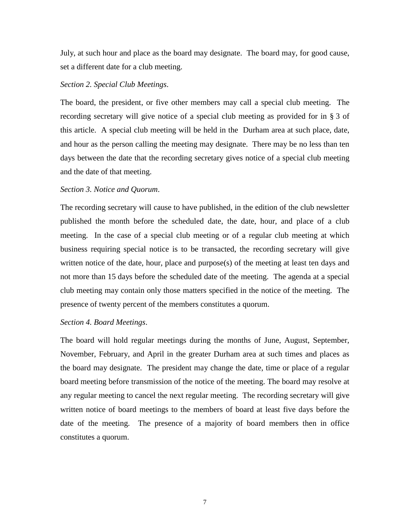July, at such hour and place as the board may designate. The board may, for good cause, set a different date for a club meeting.

# <span id="page-6-0"></span>*Section 2. Special Club Meetings*.

The board, the president, or five other members may call a special club meeting. The recording secretary will give notice of a special club meeting as provided for in § 3 of this article. A special club meeting will be held in the Durham area at such place, date, and hour as the person calling the meeting may designate. There may be no less than ten days between the date that the recording secretary gives notice of a special club meeting and the date of that meeting.

# <span id="page-6-1"></span>*Section 3. Notice and Quorum*.

The recording secretary will cause to have published, in the edition of the club newsletter published the month before the scheduled date, the date, hour, and place of a club meeting. In the case of a special club meeting or of a regular club meeting at which business requiring special notice is to be transacted, the recording secretary will give written notice of the date, hour, place and purpose(s) of the meeting at least ten days and not more than 15 days before the scheduled date of the meeting. The agenda at a special club meeting may contain only those matters specified in the notice of the meeting. The presence of twenty percent of the members constitutes a quorum.

# <span id="page-6-2"></span>*Section 4. Board Meetings*.

The board will hold regular meetings during the months of June, August, September, November, February, and April in the greater Durham area at such times and places as the board may designate. The president may change the date, time or place of a regular board meeting before transmission of the notice of the meeting. The board may resolve at any regular meeting to cancel the next regular meeting. The recording secretary will give written notice of board meetings to the members of board at least five days before the date of the meeting. The presence of a majority of board members then in office constitutes a quorum.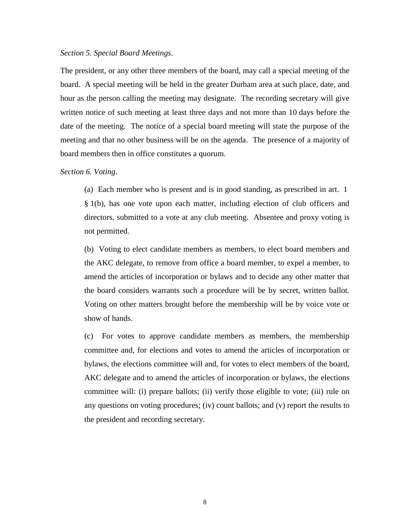#### <span id="page-7-0"></span>*Section 5. Special Board Meetings*.

The president, or any other three members of the board, may call a special meeting of the board. A special meeting will be held in the greater Durham area at such place, date, and hour as the person calling the meeting may designate. The recording secretary will give written notice of such meeting at least three days and not more than 10 days before the date of the meeting. The notice of a special board meeting will state the purpose of the meeting and that no other business will be on the agenda. The presence of a majority of board members then in office constitutes a quorum.

#### <span id="page-7-1"></span>*Section 6. Voting*.

(a) Each member who is present and is in good standing, as prescribed in art. 1 § 1(b), has one vote upon each matter, including election of club officers and directors, submitted to a vote at any club meeting. Absentee and proxy voting is not permitted.

(b) Voting to elect candidate members as members, to elect board members and the AKC delegate, to remove from office a board member, to expel a member, to amend the articles of incorporation or bylaws and to decide any other matter that the board considers warrants such a procedure will be by secret, written ballot. Voting on other matters brought before the membership will be by voice vote or show of hands.

(c) For votes to approve candidate members as members, the membership committee and, for elections and votes to amend the articles of incorporation or bylaws, the elections committee will and, for votes to elect members of the board, AKC delegate and to amend the articles of incorporation or bylaws, the elections committee will: (i) prepare ballots; (ii) verify those eligible to vote; (iii) rule on any questions on voting procedures; (iv) count ballots; and (v) report the results to the president and recording secretary.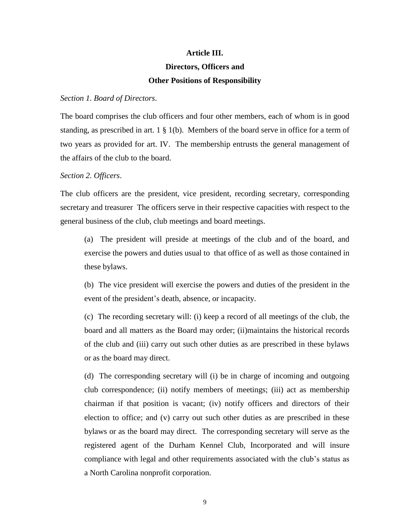#### **Article III.**

# **Directors, Officers and**

# **Other Positions of Responsibility**

#### <span id="page-8-1"></span><span id="page-8-0"></span>*Section 1. Board of Directors*.

The board comprises the club officers and four other members, each of whom is in good standing, as prescribed in art.  $1 \nless 1$  (b). Members of the board serve in office for a term of two years as provided for art. IV. The membership entrusts the general management of the affairs of the club to the board.

#### <span id="page-8-2"></span>*Section 2. Officers*.

The club officers are the president, vice president, recording secretary, corresponding secretary and treasurer The officers serve in their respective capacities with respect to the general business of the club, club meetings and board meetings.

(a) The president will preside at meetings of the club and of the board, and exercise the powers and duties usual to that office of as well as those contained in these bylaws.

(b) The vice president will exercise the powers and duties of the president in the event of the president's death, absence, or incapacity.

(c) The recording secretary will: (i) keep a record of all meetings of the club, the board and all matters as the Board may order; (ii)maintains the historical records of the club and (iii) carry out such other duties as are prescribed in these bylaws or as the board may direct.

(d) The corresponding secretary will (i) be in charge of incoming and outgoing club correspondence; (ii) notify members of meetings; (iii) act as membership chairman if that position is vacant; (iv) notify officers and directors of their election to office; and (v) carry out such other duties as are prescribed in these bylaws or as the board may direct. The corresponding secretary will serve as the registered agent of the Durham Kennel Club, Incorporated and will insure compliance with legal and other requirements associated with the club's status as a North Carolina nonprofit corporation.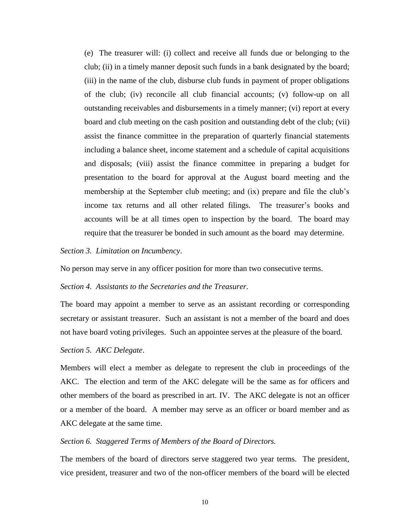(e) The treasurer will: (i) collect and receive all funds due or belonging to the club; (ii) in a timely manner deposit such funds in a bank designated by the board; (iii) in the name of the club, disburse club funds in payment of proper obligations of the club; (iv) reconcile all club financial accounts; (v) follow-up on all outstanding receivables and disbursements in a timely manner; (vi) report at every board and club meeting on the cash position and outstanding debt of the club; (vii) assist the finance committee in the preparation of quarterly financial statements including a balance sheet, income statement and a schedule of capital acquisitions and disposals; (viii) assist the finance committee in preparing a budget for presentation to the board for approval at the August board meeting and the membership at the September club meeting; and (ix) prepare and file the club's income tax returns and all other related filings. The treasurer's books and accounts will be at all times open to inspection by the board. The board may require that the treasurer be bonded in such amount as the board may determine.

## <span id="page-9-0"></span>*Section 3. Limitation on Incumbency*.

No person may serve in any officer position for more than two consecutive terms.

### <span id="page-9-1"></span>*Section 4. Assistants to the Secretaries and the Treasurer*.

The board may appoint a member to serve as an assistant recording or corresponding secretary or assistant treasurer. Such an assistant is not a member of the board and does not have board voting privileges. Such an appointee serves at the pleasure of the board.

#### <span id="page-9-2"></span>*Section 5. AKC Delegate*.

Members will elect a member as delegate to represent the club in proceedings of the AKC. The election and term of the AKC delegate will be the same as for officers and other members of the board as prescribed in art. IV. The AKC delegate is not an officer or a member of the board. A member may serve as an officer or board member and as AKC delegate at the same time.

# <span id="page-9-3"></span>*Section 6. Staggered Terms of Members of the Board of Directors.*

The members of the board of directors serve staggered two year terms. The president, vice president, treasurer and two of the non-officer members of the board will be elected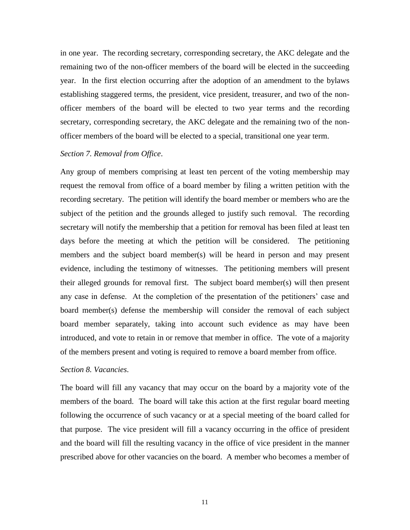in one year. The recording secretary, corresponding secretary, the AKC delegate and the remaining two of the non-officer members of the board will be elected in the succeeding year. In the first election occurring after the adoption of an amendment to the bylaws establishing staggered terms, the president, vice president, treasurer, and two of the nonofficer members of the board will be elected to two year terms and the recording secretary, corresponding secretary, the AKC delegate and the remaining two of the nonofficer members of the board will be elected to a special, transitional one year term.

# <span id="page-10-0"></span>*Section 7. Removal from Office*.

Any group of members comprising at least ten percent of the voting membership may request the removal from office of a board member by filing a written petition with the recording secretary. The petition will identify the board member or members who are the subject of the petition and the grounds alleged to justify such removal. The recording secretary will notify the membership that a petition for removal has been filed at least ten days before the meeting at which the petition will be considered. The petitioning members and the subject board member(s) will be heard in person and may present evidence, including the testimony of witnesses. The petitioning members will present their alleged grounds for removal first. The subject board member(s) will then present any case in defense. At the completion of the presentation of the petitioners' case and board member(s) defense the membership will consider the removal of each subject board member separately, taking into account such evidence as may have been introduced, and vote to retain in or remove that member in office. The vote of a majority of the members present and voting is required to remove a board member from office.

#### <span id="page-10-1"></span>*Section 8. Vacancies*.

The board will fill any vacancy that may occur on the board by a majority vote of the members of the board. The board will take this action at the first regular board meeting following the occurrence of such vacancy or at a special meeting of the board called for that purpose. The vice president will fill a vacancy occurring in the office of president and the board will fill the resulting vacancy in the office of vice president in the manner prescribed above for other vacancies on the board. A member who becomes a member of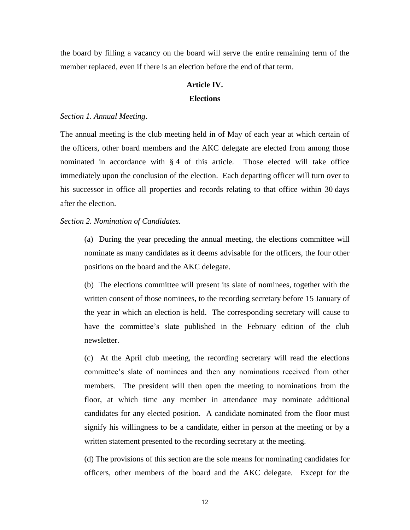<span id="page-11-0"></span>the board by filling a vacancy on the board will serve the entire remaining term of the member replaced, even if there is an election before the end of that term.

# **Article IV. Elections**

# <span id="page-11-1"></span>*Section 1. Annual Meeting*.

The annual meeting is the club meeting held in of May of each year at which certain of the officers, other board members and the AKC delegate are elected from among those nominated in accordance with § 4 of this article. Those elected will take office immediately upon the conclusion of the election. Each departing officer will turn over to his successor in office all properties and records relating to that office within 30 days after the election.

<span id="page-11-2"></span>*Section 2. Nomination of Candidates.*

(a) During the year preceding the annual meeting, the elections committee will nominate as many candidates as it deems advisable for the officers, the four other positions on the board and the AKC delegate.

(b) The elections committee will present its slate of nominees, together with the written consent of those nominees, to the recording secretary before 15 January of the year in which an election is held. The corresponding secretary will cause to have the committee's slate published in the February edition of the club newsletter.

(c) At the April club meeting, the recording secretary will read the elections committee's slate of nominees and then any nominations received from other members. The president will then open the meeting to nominations from the floor, at which time any member in attendance may nominate additional candidates for any elected position. A candidate nominated from the floor must signify his willingness to be a candidate, either in person at the meeting or by a written statement presented to the recording secretary at the meeting.

(d) The provisions of this section are the sole means for nominating candidates for officers, other members of the board and the AKC delegate. Except for the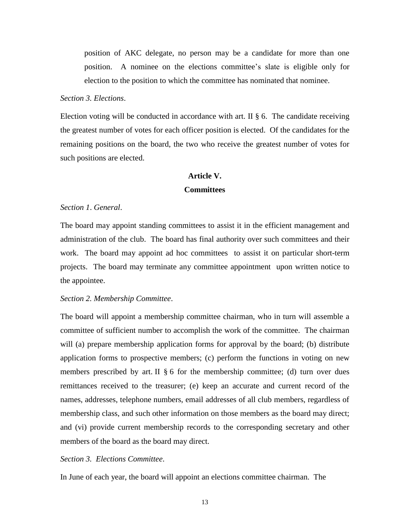position of AKC delegate, no person may be a candidate for more than one position. A nominee on the elections committee's slate is eligible only for election to the position to which the committee has nominated that nominee.

#### <span id="page-12-0"></span>*Section 3. Elections*.

Election voting will be conducted in accordance with art. II  $\S$  6. The candidate receiving the greatest number of votes for each officer position is elected. Of the candidates for the remaining positions on the board, the two who receive the greatest number of votes for such positions are elected.

# **Article V. Committees**

## <span id="page-12-2"></span><span id="page-12-1"></span>*Section 1*. *General*.

The board may appoint standing committees to assist it in the efficient management and administration of the club. The board has final authority over such committees and their work. The board may appoint ad hoc committees to assist it on particular short-term projects. The board may terminate any committee appointment upon written notice to the appointee.

#### <span id="page-12-3"></span>*Section 2. Membership Committee*.

The board will appoint a membership committee chairman, who in turn will assemble a committee of sufficient number to accomplish the work of the committee. The chairman will (a) prepare membership application forms for approval by the board; (b) distribute application forms to prospective members; (c) perform the functions in voting on new members prescribed by art. II  $\S 6$  for the membership committee; (d) turn over dues remittances received to the treasurer; (e) keep an accurate and current record of the names, addresses, telephone numbers, email addresses of all club members, regardless of membership class, and such other information on those members as the board may direct; and (vi) provide current membership records to the corresponding secretary and other members of the board as the board may direct.

# <span id="page-12-4"></span>*Section 3. Elections Committee*.

In June of each year, the board will appoint an elections committee chairman. The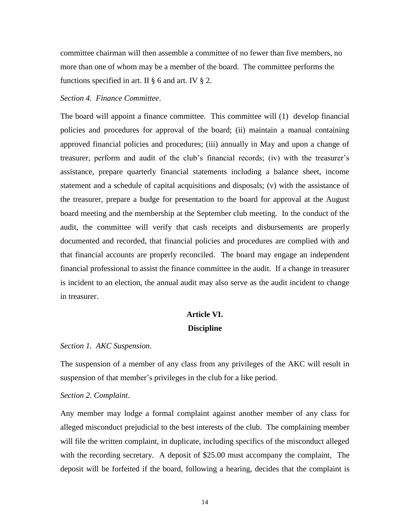committee chairman will then assemble a committee of no fewer than five members, no more than one of whom may be a member of the board. The committee performs the functions specified in art. II  $\S$  6 and art. IV  $\S$  2.

#### <span id="page-13-0"></span>*Section 4. Finance Committee*.

The board will appoint a finance committee. This committee will (1) develop financial policies and procedures for approval of the board; (ii) maintain a manual containing approved financial policies and procedures; (iii) annually in May and upon a change of treasurer, perform and audit of the club's financial records; (iv) with the treasurer's assistance, prepare quarterly financial statements including a balance sheet, income statement and a schedule of capital acquisitions and disposals; (v) with the assistance of the treasurer, prepare a budge for presentation to the board for approval at the August board meeting and the membership at the September club meeting. In the conduct of the audit, the committee will verify that cash receipts and disbursements are properly documented and recorded, that financial policies and procedures are complied with and that financial accounts are properly reconciled. The board may engage an independent financial professional to assist the finance committee in the audit. If a change in treasurer is incident to an election, the annual audit may also serve as the audit incident to change in treasurer.

# **Article VI. Discipline**

## <span id="page-13-2"></span><span id="page-13-1"></span>*Section 1. AKC Suspension*.

The suspension of a member of any class from any privileges of the AKC will result in suspension of that member's privileges in the club for a like period.

#### <span id="page-13-3"></span>*Section 2. Complaint*.

Any member may lodge a formal complaint against another member of any class for alleged misconduct prejudicial to the best interests of the club. The complaining member will file the written complaint, in duplicate, including specifics of the misconduct alleged with the recording secretary. A deposit of \$25.00 must accompany the complaint, The deposit will be forfeited if the board, following a hearing, decides that the complaint is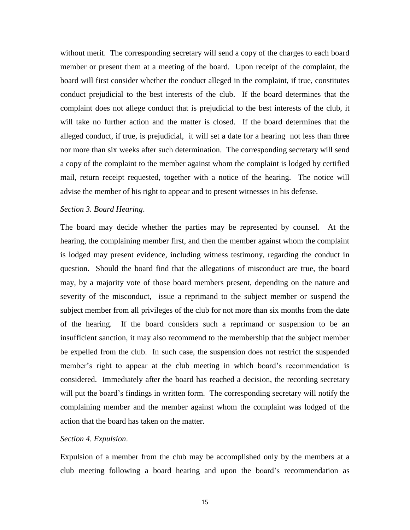without merit. The corresponding secretary will send a copy of the charges to each board member or present them at a meeting of the board. Upon receipt of the complaint, the board will first consider whether the conduct alleged in the complaint, if true, constitutes conduct prejudicial to the best interests of the club. If the board determines that the complaint does not allege conduct that is prejudicial to the best interests of the club, it will take no further action and the matter is closed. If the board determines that the alleged conduct, if true, is prejudicial, it will set a date for a hearing not less than three nor more than six weeks after such determination. The corresponding secretary will send a copy of the complaint to the member against whom the complaint is lodged by certified mail, return receipt requested, together with a notice of the hearing. The notice will advise the member of his right to appear and to present witnesses in his defense.

# <span id="page-14-0"></span>*Section 3. Board Hearing*.

The board may decide whether the parties may be represented by counsel. At the hearing, the complaining member first, and then the member against whom the complaint is lodged may present evidence, including witness testimony, regarding the conduct in question. Should the board find that the allegations of misconduct are true, the board may, by a majority vote of those board members present, depending on the nature and severity of the misconduct, issue a reprimand to the subject member or suspend the subject member from all privileges of the club for not more than six months from the date of the hearing. If the board considers such a reprimand or suspension to be an insufficient sanction, it may also recommend to the membership that the subject member be expelled from the club. In such case, the suspension does not restrict the suspended member's right to appear at the club meeting in which board's recommendation is considered. Immediately after the board has reached a decision, the recording secretary will put the board's findings in written form. The corresponding secretary will notify the complaining member and the member against whom the complaint was lodged of the action that the board has taken on the matter.

# <span id="page-14-1"></span>*Section 4. Expulsion*.

Expulsion of a member from the club may be accomplished only by the members at a club meeting following a board hearing and upon the board's recommendation as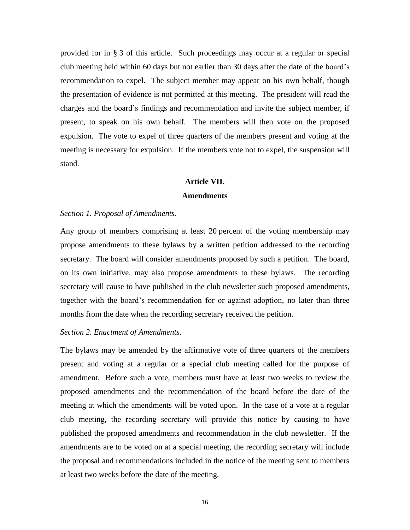provided for in § 3 of this article. Such proceedings may occur at a regular or special club meeting held within 60 days but not earlier than 30 days after the date of the board's recommendation to expel. The subject member may appear on his own behalf, though the presentation of evidence is not permitted at this meeting. The president will read the charges and the board's findings and recommendation and invite the subject member, if present, to speak on his own behalf. The members will then vote on the proposed expulsion. The vote to expel of three quarters of the members present and voting at the meeting is necessary for expulsion. If the members vote not to expel, the suspension will stand.

#### **Article VII.**

#### **Amendments**

#### <span id="page-15-1"></span><span id="page-15-0"></span>*Section 1. Proposal of Amendments.*

Any group of members comprising at least 20 percent of the voting membership may propose amendments to these bylaws by a written petition addressed to the recording secretary. The board will consider amendments proposed by such a petition. The board, on its own initiative, may also propose amendments to these bylaws. The recording secretary will cause to have published in the club newsletter such proposed amendments, together with the board's recommendation for or against adoption, no later than three months from the date when the recording secretary received the petition.

## <span id="page-15-2"></span>*Section 2. Enactment of Amendments*.

The bylaws may be amended by the affirmative vote of three quarters of the members present and voting at a regular or a special club meeting called for the purpose of amendment. Before such a vote, members must have at least two weeks to review the proposed amendments and the recommendation of the board before the date of the meeting at which the amendments will be voted upon. In the case of a vote at a regular club meeting, the recording secretary will provide this notice by causing to have published the proposed amendments and recommendation in the club newsletter. If the amendments are to be voted on at a special meeting, the recording secretary will include the proposal and recommendations included in the notice of the meeting sent to members at least two weeks before the date of the meeting.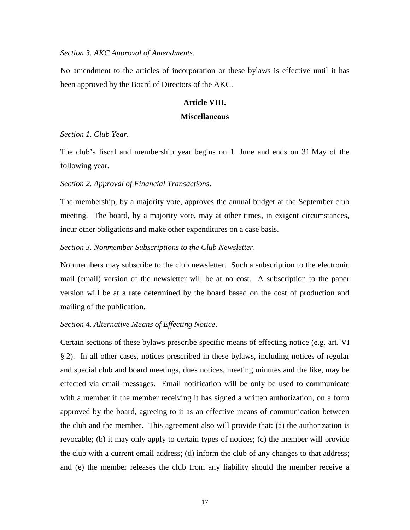#### <span id="page-16-0"></span>*Section 3. AKC Approval of Amendments*.

<span id="page-16-1"></span>No amendment to the articles of incorporation or these bylaws is effective until it has been approved by the Board of Directors of the AKC.

# **Article VIII.**

#### **Miscellaneous**

# <span id="page-16-2"></span>*Section 1. Club Year*.

The club's fiscal and membership year begins on 1 June and ends on 31 May of the following year.

### <span id="page-16-3"></span>*Section 2. Approval of Financial Transactions*.

The membership, by a majority vote, approves the annual budget at the September club meeting. The board, by a majority vote, may at other times, in exigent circumstances, incur other obligations and make other expenditures on a case basis.

## <span id="page-16-4"></span>*Section 3. Nonmember Subscriptions to the Club Newsletter*.

Nonmembers may subscribe to the club newsletter. Such a subscription to the electronic mail (email) version of the newsletter will be at no cost. A subscription to the paper version will be at a rate determined by the board based on the cost of production and mailing of the publication.

# <span id="page-16-5"></span>*Section 4. Alternative Means of Effecting Notice*.

Certain sections of these bylaws prescribe specific means of effecting notice (e.g. art. VI § 2). In all other cases, notices prescribed in these bylaws, including notices of regular and special club and board meetings, dues notices, meeting minutes and the like, may be effected via email messages. Email notification will be only be used to communicate with a member if the member receiving it has signed a written authorization, on a form approved by the board, agreeing to it as an effective means of communication between the club and the member. This agreement also will provide that: (a) the authorization is revocable; (b) it may only apply to certain types of notices; (c) the member will provide the club with a current email address; (d) inform the club of any changes to that address; and (e) the member releases the club from any liability should the member receive a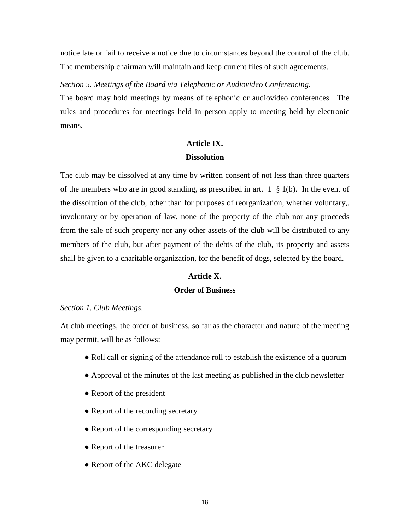notice late or fail to receive a notice due to circumstances beyond the control of the club. The membership chairman will maintain and keep current files of such agreements.

<span id="page-17-0"></span>*Section 5. Meetings of the Board via Telephonic or Audiovideo Conferencing.*

The board may hold meetings by means of telephonic or audiovideo conferences. The rules and procedures for meetings held in person apply to meeting held by electronic means.

# **Article IX. Dissolution**

<span id="page-17-1"></span>The club may be dissolved at any time by written consent of not less than three quarters of the members who are in good standing, as prescribed in art.  $1 \& 1(b)$ . In the event of the dissolution of the club, other than for purposes of reorganization, whether voluntary,. involuntary or by operation of law, none of the property of the club nor any proceeds from the sale of such property nor any other assets of the club will be distributed to any members of the club, but after payment of the debts of the club, its property and assets shall be given to a charitable organization, for the benefit of dogs, selected by the board.

# **Article X.**

# **Order of Business**

#### <span id="page-17-3"></span><span id="page-17-2"></span>*Section 1. Club Meetings*.

At club meetings, the order of business, so far as the character and nature of the meeting may permit, will be as follows:

- Roll call or signing of the attendance roll to establish the existence of a quorum
- Approval of the minutes of the last meeting as published in the club newsletter
- Report of the president
- Report of the recording secretary
- Report of the corresponding secretary
- Report of the treasurer
- Report of the AKC delegate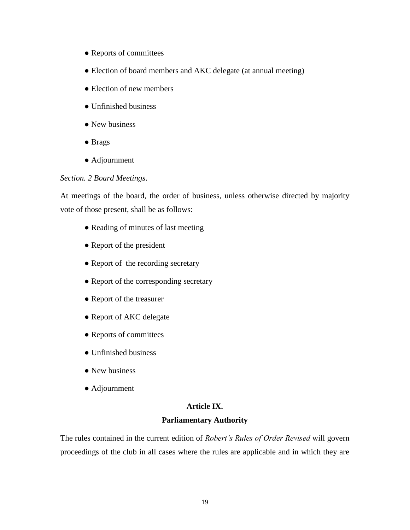- Reports of committees
- Election of board members and AKC delegate (at annual meeting)
- Election of new members
- Unfinished business
- New business
- Brags
- Adjournment

# <span id="page-18-0"></span>*Section. 2 Board Meetings*.

At meetings of the board, the order of business, unless otherwise directed by majority vote of those present, shall be as follows:

- Reading of minutes of last meeting
- Report of the president
- Report of the recording secretary
- Report of the corresponding secretary
- Report of the treasurer
- Report of AKC delegate
- Reports of committees
- Unfinished business
- New business
- <span id="page-18-1"></span>● Adjournment

## **Article IX.**

# **Parliamentary Authority**

The rules contained in the current edition of *Robert's Rules of Order Revised* will govern proceedings of the club in all cases where the rules are applicable and in which they are